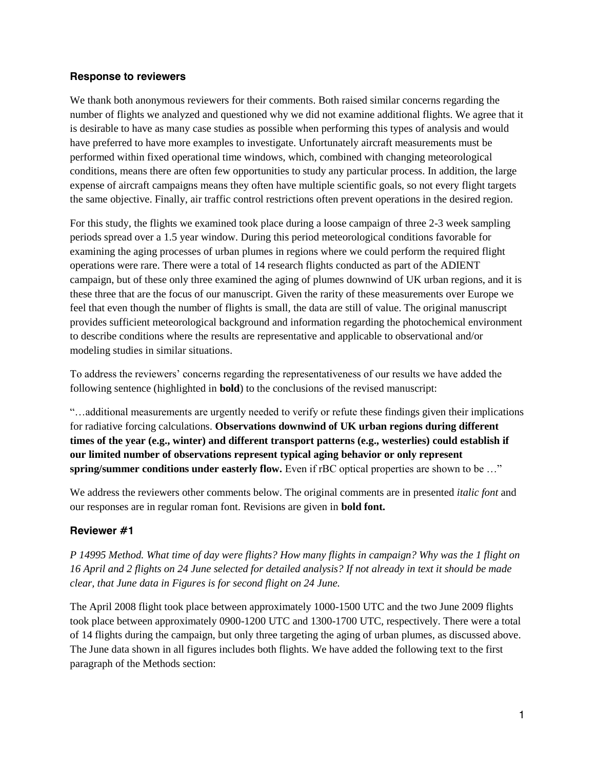### **Response to reviewers**

We thank both anonymous reviewers for their comments. Both raised similar concerns regarding the number of flights we analyzed and questioned why we did not examine additional flights. We agree that it is desirable to have as many case studies as possible when performing this types of analysis and would have preferred to have more examples to investigate. Unfortunately aircraft measurements must be performed within fixed operational time windows, which, combined with changing meteorological conditions, means there are often few opportunities to study any particular process. In addition, the large expense of aircraft campaigns means they often have multiple scientific goals, so not every flight targets the same objective. Finally, air traffic control restrictions often prevent operations in the desired region.

For this study, the flights we examined took place during a loose campaign of three 2-3 week sampling periods spread over a 1.5 year window. During this period meteorological conditions favorable for examining the aging processes of urban plumes in regions where we could perform the required flight operations were rare. There were a total of 14 research flights conducted as part of the ADIENT campaign, but of these only three examined the aging of plumes downwind of UK urban regions, and it is these three that are the focus of our manuscript. Given the rarity of these measurements over Europe we feel that even though the number of flights is small, the data are still of value. The original manuscript provides sufficient meteorological background and information regarding the photochemical environment to describe conditions where the results are representative and applicable to observational and/or modeling studies in similar situations.

To address the reviewers' concerns regarding the representativeness of our results we have added the following sentence (highlighted in **bold**) to the conclusions of the revised manuscript:

"…additional measurements are urgently needed to verify or refute these findings given their implications for radiative forcing calculations. **Observations downwind of UK urban regions during different times of the year (e.g., winter) and different transport patterns (e.g., westerlies) could establish if our limited number of observations represent typical aging behavior or only represent spring/summer conditions under easterly flow.** Even if rBC optical properties are shown to be ..."

We address the reviewers other comments below. The original comments are in presented *italic font* and our responses are in regular roman font. Revisions are given in **bold font.**

### **Reviewer #1**

*P 14995 Method. What time of day were flights? How many flights in campaign? Why was the 1 flight on 16 April and 2 flights on 24 June selected for detailed analysis? If not already in text it should be made clear, that June data in Figures is for second flight on 24 June.*

The April 2008 flight took place between approximately 1000-1500 UTC and the two June 2009 flights took place between approximately 0900-1200 UTC and 1300-1700 UTC, respectively. There were a total of 14 flights during the campaign, but only three targeting the aging of urban plumes, as discussed above. The June data shown in all figures includes both flights. We have added the following text to the first paragraph of the Methods section: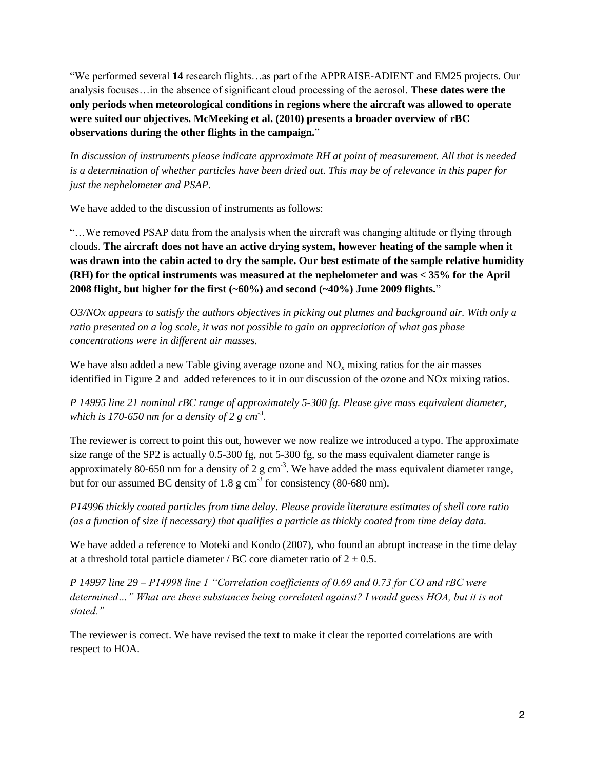"We performed several **14** research flights…as part of the APPRAISE-ADIENT and EM25 projects. Our analysis focuses…in the absence of significant cloud processing of the aerosol. **These dates were the only periods when meteorological conditions in regions where the aircraft was allowed to operate were suited our objectives. McMeeking et al. (2010) presents a broader overview of rBC observations during the other flights in the campaign.**"

*In discussion of instruments please indicate approximate RH at point of measurement. All that is needed is a determination of whether particles have been dried out. This may be of relevance in this paper for just the nephelometer and PSAP.*

We have added to the discussion of instruments as follows:

"…We removed PSAP data from the analysis when the aircraft was changing altitude or flying through clouds. **The aircraft does not have an active drying system, however heating of the sample when it was drawn into the cabin acted to dry the sample. Our best estimate of the sample relative humidity (RH) for the optical instruments was measured at the nephelometer and was < 35% for the April 2008 flight, but higher for the first (~60%) and second (~40%) June 2009 flights.**"

*O3/NOx appears to satisfy the authors objectives in picking out plumes and background air. With only a ratio presented on a log scale, it was not possible to gain an appreciation of what gas phase concentrations were in different air masses.*

We have also added a new Table giving average ozone and  $NO<sub>x</sub>$  mixing ratios for the air masses identified in Figure 2 and added references to it in our discussion of the ozone and NOx mixing ratios.

*P 14995 line 21 nominal rBC range of approximately 5-300 fg. Please give mass equivalent diameter, which is 170-650 nm for a density of 2 g cm-3 .*

The reviewer is correct to point this out, however we now realize we introduced a typo. The approximate size range of the SP2 is actually 0.5-300 fg, not 5-300 fg, so the mass equivalent diameter range is approximately 80-650 nm for a density of 2  $g \text{ cm}^{-3}$ . We have added the mass equivalent diameter range, but for our assumed BC density of 1.8  $\text{g cm}^{-3}$  for consistency (80-680 nm).

*P14996 thickly coated particles from time delay. Please provide literature estimates of shell core ratio (as a function of size if necessary) that qualifies a particle as thickly coated from time delay data.*

We have added a reference to Moteki and Kondo (2007), who found an abrupt increase in the time delay at a threshold total particle diameter / BC core diameter ratio of  $2 \pm 0.5$ .

*P 14997 line 29 – P14998 line 1 "Correlation coefficients of 0.69 and 0.73 for CO and rBC were determined…" What are these substances being correlated against? I would guess HOA, but it is not stated."*

The reviewer is correct. We have revised the text to make it clear the reported correlations are with respect to HOA.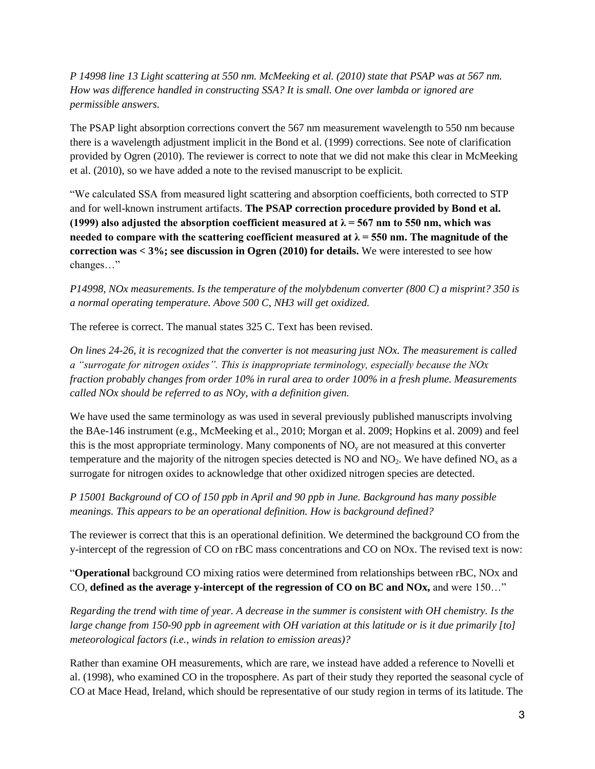*P 14998 line 13 Light scattering at 550 nm. McMeeking et al. (2010) state that PSAP was at 567 nm. How was difference handled in constructing SSA? It is small. One over lambda or ignored are permissible answers.*

The PSAP light absorption corrections convert the 567 nm measurement wavelength to 550 nm because there is a wavelength adjustment implicit in the Bond et al. (1999) corrections. See note of clarification provided by Ogren (2010). The reviewer is correct to note that we did not make this clear in McMeeking et al. (2010), so we have added a note to the revised manuscript to be explicit.

"We calculated SSA from measured light scattering and absorption coefficients, both corrected to STP and for well-known instrument artifacts. **The PSAP correction procedure provided by Bond et al.**  (1999) also adjusted the absorption coefficient measured at  $\lambda$  = 567 nm to 550 nm, which was **needed to compare with the scattering coefficient measured at**  $\lambda = 550$  **nm. The magnitude of the correction was < 3%; see discussion in Ogren (2010) for details.** We were interested to see how changes…"

*P14998, NOx measurements. Is the temperature of the molybdenum converter (800 C) a misprint? 350 is a normal operating temperature. Above 500 C, NH3 will get oxidized.*

The referee is correct. The manual states 325 C. Text has been revised.

*On lines 24-26, it is recognized that the converter is not measuring just NOx. The measurement is called a "surrogate for nitrogen oxides". This is inappropriate terminology, especially because the NOx fraction probably changes from order 10% in rural area to order 100% in a fresh plume. Measurements called NOx should be referred to as NOy, with a definition given.*

We have used the same terminology as was used in several previously published manuscripts involving the BAe-146 instrument (e.g., McMeeking et al., 2010; Morgan et al. 2009; Hopkins et al. 2009) and feel this is the most appropriate terminology. Many components of  $NO<sub>y</sub>$  are not measured at this converter temperature and the majority of the nitrogen species detected is NO and  $NO<sub>2</sub>$ . We have defined  $NO<sub>x</sub>$  as a surrogate for nitrogen oxides to acknowledge that other oxidized nitrogen species are detected.

*P 15001 Background of CO of 150 ppb in April and 90 ppb in June. Background has many possible meanings. This appears to be an operational definition. How is background defined?*

The reviewer is correct that this is an operational definition. We determined the background CO from the y-intercept of the regression of CO on rBC mass concentrations and CO on NOx. The revised text is now:

"**Operational** background CO mixing ratios were determined from relationships between rBC, NOx and CO, **defined as the average y-intercept of the regression of CO on BC and NOx,** and were 150…"

*Regarding the trend with time of year. A decrease in the summer is consistent with OH chemistry. Is the large change from 150-90 ppb in agreement with OH variation at this latitude or is it due primarily [to] meteorological factors (i.e., winds in relation to emission areas)?*

Rather than examine OH measurements, which are rare, we instead have added a reference to Novelli et al. (1998), who examined CO in the troposphere. As part of their study they reported the seasonal cycle of CO at Mace Head, Ireland, which should be representative of our study region in terms of its latitude. The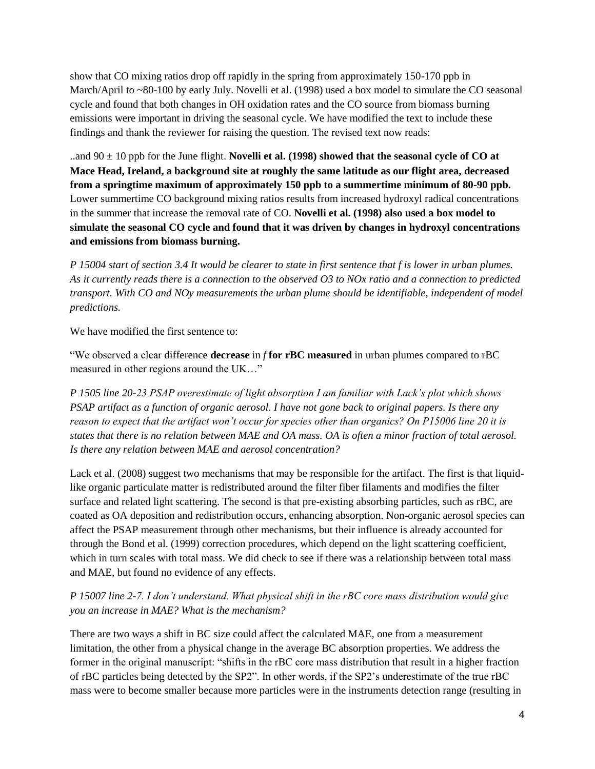show that CO mixing ratios drop off rapidly in the spring from approximately 150-170 ppb in March/April to ~80-100 by early July. Novelli et al. (1998) used a box model to simulate the CO seasonal cycle and found that both changes in OH oxidation rates and the CO source from biomass burning emissions were important in driving the seasonal cycle. We have modified the text to include these findings and thank the reviewer for raising the question. The revised text now reads:

..and 90 ± 10 ppb for the June flight. **Novelli et al. (1998) showed that the seasonal cycle of CO at Mace Head, Ireland, a background site at roughly the same latitude as our flight area, decreased from a springtime maximum of approximately 150 ppb to a summertime minimum of 80-90 ppb.**  Lower summertime CO background mixing ratios results from increased hydroxyl radical concentrations in the summer that increase the removal rate of CO. **Novelli et al. (1998) also used a box model to simulate the seasonal CO cycle and found that it was driven by changes in hydroxyl concentrations and emissions from biomass burning.**

*P 15004 start of section 3.4 It would be clearer to state in first sentence that f is lower in urban plumes. As it currently reads there is a connection to the observed O3 to NOx ratio and a connection to predicted transport. With CO and NOy measurements the urban plume should be identifiable, independent of model predictions.*

We have modified the first sentence to:

"We observed a clear difference **decrease** in *f* **for rBC measured** in urban plumes compared to rBC measured in other regions around the UK…"

*P 1505 line 20-23 PSAP overestimate of light absorption I am familiar with Lack's plot which shows PSAP artifact as a function of organic aerosol. I have not gone back to original papers. Is there any reason to expect that the artifact won't occur for species other than organics? On P15006 line 20 it is states that there is no relation between MAE and OA mass. OA is often a minor fraction of total aerosol. Is there any relation between MAE and aerosol concentration?*

Lack et al. (2008) suggest two mechanisms that may be responsible for the artifact. The first is that liquidlike organic particulate matter is redistributed around the filter fiber filaments and modifies the filter surface and related light scattering. The second is that pre-existing absorbing particles, such as rBC, are coated as OA deposition and redistribution occurs, enhancing absorption. Non-organic aerosol species can affect the PSAP measurement through other mechanisms, but their influence is already accounted for through the Bond et al. (1999) correction procedures, which depend on the light scattering coefficient, which in turn scales with total mass. We did check to see if there was a relationship between total mass and MAE, but found no evidence of any effects.

*P 15007 line 2-7. I don't understand. What physical shift in the rBC core mass distribution would give you an increase in MAE? What is the mechanism?*

There are two ways a shift in BC size could affect the calculated MAE, one from a measurement limitation, the other from a physical change in the average BC absorption properties. We address the former in the original manuscript: "shifts in the rBC core mass distribution that result in a higher fraction of rBC particles being detected by the SP2". In other words, if the SP2's underestimate of the true rBC mass were to become smaller because more particles were in the instruments detection range (resulting in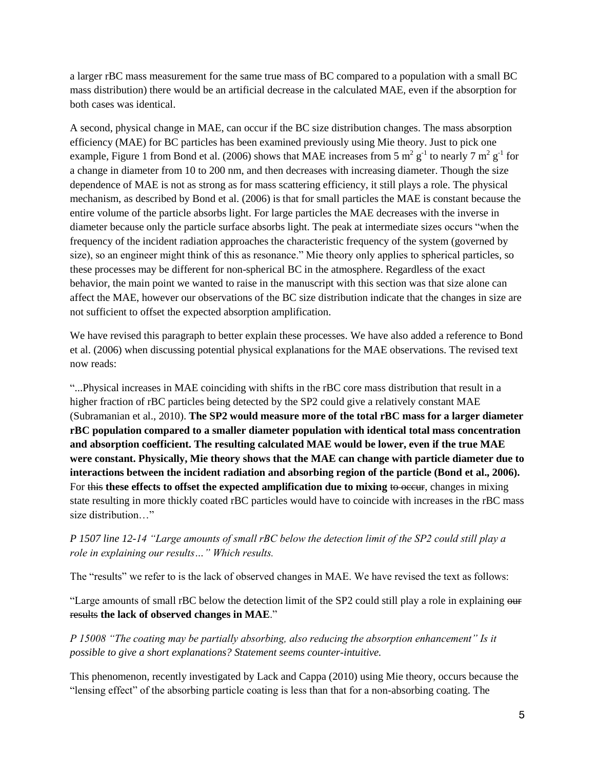a larger rBC mass measurement for the same true mass of BC compared to a population with a small BC mass distribution) there would be an artificial decrease in the calculated MAE, even if the absorption for both cases was identical.

A second, physical change in MAE, can occur if the BC size distribution changes. The mass absorption efficiency (MAE) for BC particles has been examined previously using Mie theory. Just to pick one example, Figure 1 from Bond et al. (2006) shows that MAE increases from 5  $m^2 g^{-1}$  to nearly 7  $m^2 g^{-1}$  for a change in diameter from 10 to 200 nm, and then decreases with increasing diameter. Though the size dependence of MAE is not as strong as for mass scattering efficiency, it still plays a role. The physical mechanism, as described by Bond et al. (2006) is that for small particles the MAE is constant because the entire volume of the particle absorbs light. For large particles the MAE decreases with the inverse in diameter because only the particle surface absorbs light. The peak at intermediate sizes occurs "when the frequency of the incident radiation approaches the characteristic frequency of the system (governed by size), so an engineer might think of this as resonance." Mie theory only applies to spherical particles, so these processes may be different for non-spherical BC in the atmosphere. Regardless of the exact behavior, the main point we wanted to raise in the manuscript with this section was that size alone can affect the MAE, however our observations of the BC size distribution indicate that the changes in size are not sufficient to offset the expected absorption amplification.

We have revised this paragraph to better explain these processes. We have also added a reference to Bond et al. (2006) when discussing potential physical explanations for the MAE observations. The revised text now reads:

"...Physical increases in MAE coinciding with shifts in the rBC core mass distribution that result in a higher fraction of rBC particles being detected by the SP2 could give a relatively constant MAE (Subramanian et al., 2010). **The SP2 would measure more of the total rBC mass for a larger diameter rBC population compared to a smaller diameter population with identical total mass concentration and absorption coefficient. The resulting calculated MAE would be lower, even if the true MAE were constant. Physically, Mie theory shows that the MAE can change with particle diameter due to interactions between the incident radiation and absorbing region of the particle (Bond et al., 2006).** For this these effects to offset the expected amplification due to mixing to occur, changes in mixing state resulting in more thickly coated rBC particles would have to coincide with increases in the rBC mass size distribution…"

*P 1507 line 12-14 "Large amounts of small rBC below the detection limit of the SP2 could still play a role in explaining our results…" Which results.*

The "results" we refer to is the lack of observed changes in MAE. We have revised the text as follows:

"Large amounts of small rBC below the detection limit of the SP2 could still play a role in explaining our results **the lack of observed changes in MAE**."

*P 15008 "The coating may be partially absorbing, also reducing the absorption enhancement" Is it possible to give a short explanations? Statement seems counter-intuitive.*

This phenomenon, recently investigated by Lack and Cappa (2010) using Mie theory, occurs because the "lensing effect" of the absorbing particle coating is less than that for a non-absorbing coating. The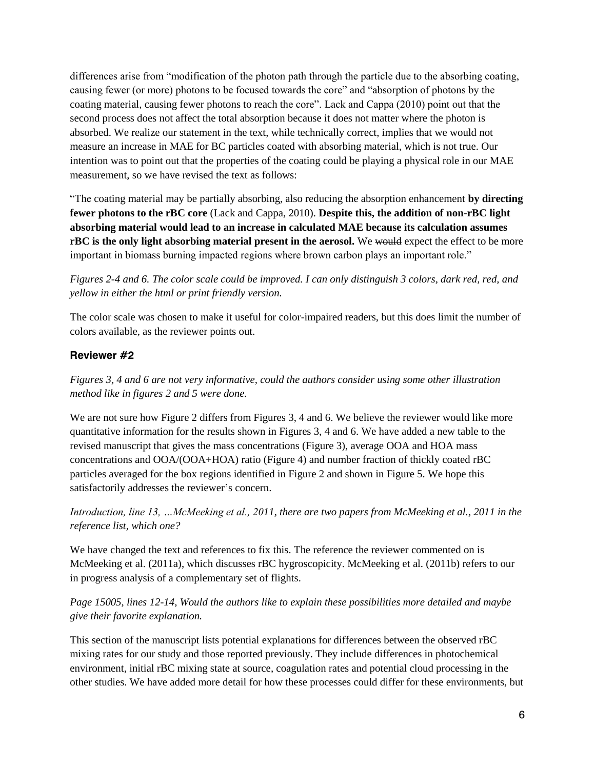differences arise from "modification of the photon path through the particle due to the absorbing coating, causing fewer (or more) photons to be focused towards the core" and "absorption of photons by the coating material, causing fewer photons to reach the core". Lack and Cappa (2010) point out that the second process does not affect the total absorption because it does not matter where the photon is absorbed. We realize our statement in the text, while technically correct, implies that we would not measure an increase in MAE for BC particles coated with absorbing material, which is not true. Our intention was to point out that the properties of the coating could be playing a physical role in our MAE measurement, so we have revised the text as follows:

"The coating material may be partially absorbing, also reducing the absorption enhancement **by directing fewer photons to the rBC core** (Lack and Cappa, 2010). **Despite this, the addition of non-rBC light absorbing material would lead to an increase in calculated MAE because its calculation assumes rBC** is the only light absorbing material present in the aerosol. We would expect the effect to be more important in biomass burning impacted regions where brown carbon plays an important role."

*Figures 2-4 and 6. The color scale could be improved. I can only distinguish 3 colors, dark red, red, and yellow in either the html or print friendly version.*

The color scale was chosen to make it useful for color-impaired readers, but this does limit the number of colors available, as the reviewer points out.

# **Reviewer #2**

*Figures 3, 4 and 6 are not very informative, could the authors consider using some other illustration method like in figures 2 and 5 were done.*

We are not sure how Figure 2 differs from Figures 3, 4 and 6. We believe the reviewer would like more quantitative information for the results shown in Figures 3, 4 and 6. We have added a new table to the revised manuscript that gives the mass concentrations (Figure 3), average OOA and HOA mass concentrations and OOA/(OOA+HOA) ratio (Figure 4) and number fraction of thickly coated rBC particles averaged for the box regions identified in Figure 2 and shown in Figure 5. We hope this satisfactorily addresses the reviewer's concern.

*Introduction, line 13, …McMeeking et al., 2011, there are two papers from McMeeking et al., 2011 in the reference list, which one?*

We have changed the text and references to fix this. The reference the reviewer commented on is McMeeking et al. (2011a), which discusses rBC hygroscopicity. McMeeking et al. (2011b) refers to our in progress analysis of a complementary set of flights.

*Page 15005, lines 12-14*, *Would the authors like to explain these possibilities more detailed and maybe give their favorite explanation.*

This section of the manuscript lists potential explanations for differences between the observed rBC mixing rates for our study and those reported previously. They include differences in photochemical environment, initial rBC mixing state at source, coagulation rates and potential cloud processing in the other studies. We have added more detail for how these processes could differ for these environments, but